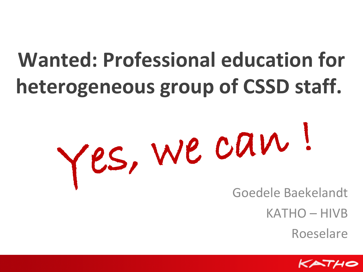### **Wanted: Professional education for heterogeneous group of CSSD staff.**

# Yes, we can !

Goedele Baekelandt

KATHO – HIVB

Roeselare

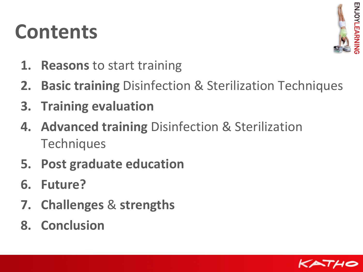### **Contents**



- **1. Reasons** to start training
- **2. Basic training** Disinfection & Sterilization Techniques
- **3. Training evaluation**
- **4. Advanced training** Disinfection & Sterilization **Techniques**
- **5. Post graduate education**
- **6. Future?**
- **7. Challenges** & **strengths**
- **8. Conclusion**

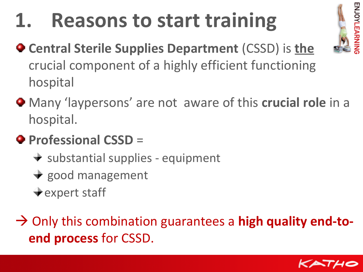### **1. Reasons to start training**



- **Central Sterile Supplies Department** (CSSD) is **the** crucial component of a highly efficient functioning hospital
- Many 'laypersons' are not aware of this **crucial role** in a hospital.
- **Professional CSSD** =
	- $\rightarrow$  substantial supplies equipment
	- $\rightarrow$  good management
	- $\div$  expert staff

→ Only this combination guarantees a **high quality end-toend process** for CSSD.

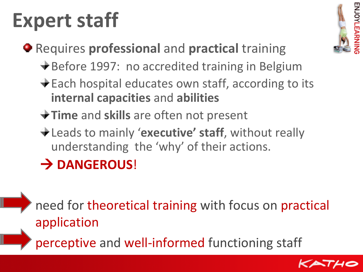### **Expert staff**



- Requires **professional** and **practical** training
	- **→ Before 1997: no accredited training in Belgium**
	- ◆ Each hospital educates own staff, according to its **internal capacities** and **abilities**
	- **Time** and **skills** are often not present
	- Leads to mainly '**executive' staff**, without really understanding the 'why' of their actions.

### **DANGEROUS**!

need for theoretical training with focus on practical application

perceptive and well-informed functioning staff

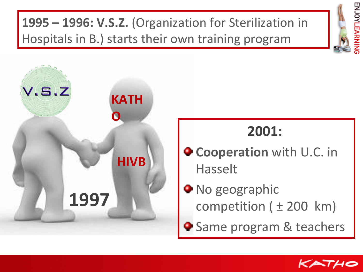**1995 – 1996: V.S.Z.** (Organization for Sterilization in Hospitals in B.) starts their own training program





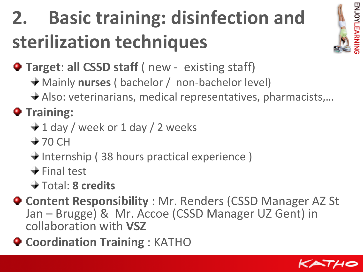### **2. Basic training: disinfection and sterilization techniques**



**Target: all CSSD staff (** new - existing staff)

- Mainly **nurses** ( bachelor / non-bachelor level)
- Also: veterinarians, medical representatives, pharmacists,…

### $\bullet$  Training:

- $\div$  1 day / week or 1 day / 2 weeks
- $+70$  CH
- $\bigstar$  Internship (38 hours practical experience)
- $\div$  Final test
- Total: **8 credits**
- **Content Responsibility** : Mr. Renders (CSSD Manager AZ St Jan – Brugge) & Mr. Accoe (CSSD Manager UZ Gent) in collaboration with **VSZ**
- **Coordination Training** : KATHO

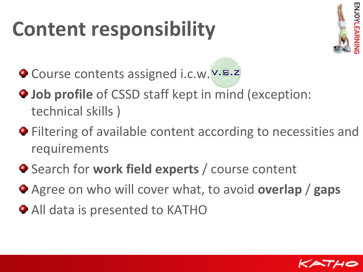### **Content responsibility**



- O Course contents assigned i.c.w. V.s.z
- **Job profile** of CSSD staff kept in mind (exception: technical skills )
- $\bullet$  Filtering of available content according to necessities and requirements
- Search for **work field experts** / course content
- Agree on who will cover what, to avoid **overlap** / **gaps**
- All data is presented to KATHO

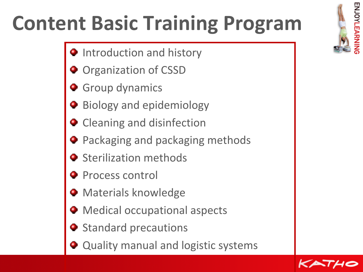### **Content Basic Training Program**

- **Introduction and history**
- **Organization of CSSD**
- **Group dynamics**
- Biology and epidemiology
- Cleaning and disinfection
- **•** Packaging and packaging methods
- **•** Sterilization methods
- **Process control**
- **Materials knowledge**
- **Medical occupational aspects**
- **Standard precautions**
- Quality manual and logistic systems



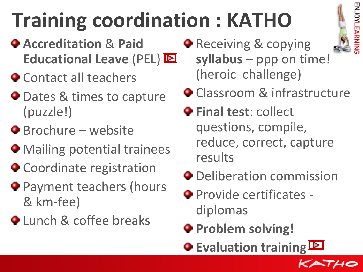## **Training coordination : KATHO**

- **Accreditation** & **Paid Educational Leave** (PEL)
- $\bullet$  Contact all teachers
- **O** Dates & times to capture (puzzle!)
- **•** Brochure website
- **Mailing potential trainees**
- **Coordinate registration**
- **Payment teachers (hours** & km-fee)
- **Q** Lunch & coffee breaks

**• Receiving & copying syllabus** – ppp on time! (heroic challenge)



- **Classroom & infrastructure**
- **P** Final test: collect questions, compile, reduce, correct, capture results
- **O** Deliberation commission
- **Provide certificates** diplomas
- **Problem solving!**
- **Evaluation training**

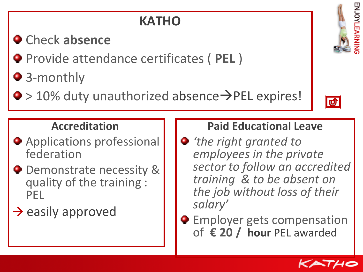### **KATHO**

### Check **absence**

- Provide attendance certificates ( **PEL** )
- 3-monthly
- $\bullet$  > 10% duty unauthorized absence $\rightarrow$ PEL expires!



ENJOYLEARNIN

#### **Accreditation**

- **Applications professional** federation
- **•** Demonstrate necessity & quality of the training : PEL

 $\rightarrow$  easily approved

### **Paid Educational Leave**

- *'the right granted to employees in the private sector to follow an accredited training & to be absent on the job without loss of their salary'*
- **•** Employer gets compensation of **€ 20 / hour** PEL awarded

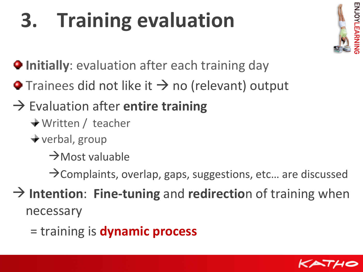## **3. Training evaluation**



- **Initially:** evaluation after each training day
- $\bullet$  Trainees did not like it  $\rightarrow$  no (relevant) output
- Evaluation after **entire training**
	- Written / teacher
	- verbal, group
		- $\rightarrow$ Most valuable
		- $\rightarrow$  Complaints, overlap, gaps, suggestions, etc... are discussed
- **Intention**: **Fine-tuning** and **redirectio**n of training when necessary
	- = training is **dynamic process**

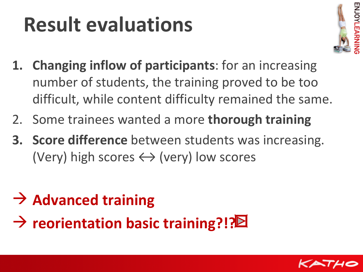### **Result evaluations**



- **1. Changing inflow of participants**: for an increasing number of students, the training proved to be too difficult, while content difficulty remained the same.
- 2. Some trainees wanted a more **thorough training**
- **3. Score difference** between students was increasing. (Very) high scores  $\leftrightarrow$  (very) low scores
- **Advanced training**
- → reorientation basic training?!?<sup>2</sup>

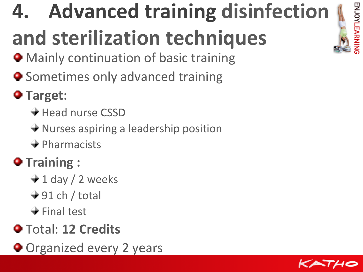## ENJOYLEARNIN

## **4. Advanced training disinfection**

## **and sterilization techniques**

- **Mainly continuation of basic training**
- $\bullet$  Sometimes only advanced training
- **Target**:
	- $\div$  Head nurse CSSD
	- $\rightarrow$  Nurses aspiring a leadership position
	- $\rightarrow$  Pharmacists
- $\bullet$  Training :
	- $\div$  1 day / 2 weeks
	- $+91$  ch / total
	- $\div$  Final test
- Total: **12 Credits**
- **Organized every 2 years**

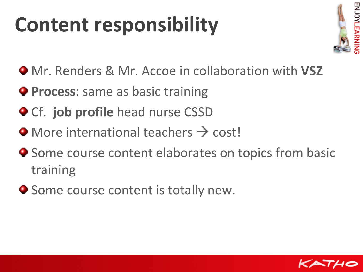### **Content responsibility**



- $\bullet$  Mr. Renders & Mr. Accoe in collaboration with **VSZ**
- **Process**: same as basic training
- **Cf. job profile** head nurse CSSD
- $\bullet$  More international teachers  $\rightarrow$  cost!
- $\bullet$  Some course content elaborates on topics from basic training
- **Some course content is totally new.**

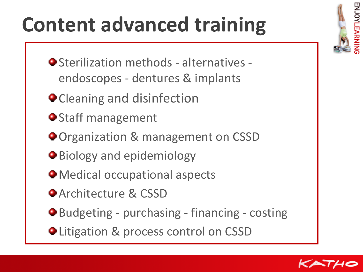### **Content advanced training**

- Sterilization methods alternatives endoscopes - dentures & implants
- **O** Cleaning and disinfection
- **O** Staff management
- **O** Organization & management on CSSD
- **Biology and epidemiology**
- Medical occupational aspects
- **Architecture & CSSD**
- Budgeting purchasing financing costing
- **OLitigation & process control on CSSD**



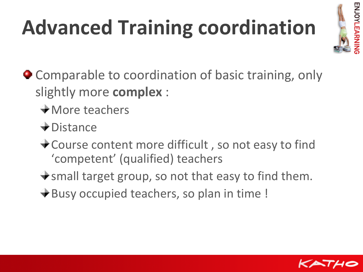## **Advanced Training coordination**



- Comparable to coordination of basic training, only slightly more **complex** :
	- **★More teachers**
	- Distance
	- **★ Course content more difficult, so not easy to find** 'competent' (qualified) teachers
	- $\rightarrow$  small target group, so not that easy to find them.
	- $\bigstar$  **Busy occupied teachers, so plan in time!**

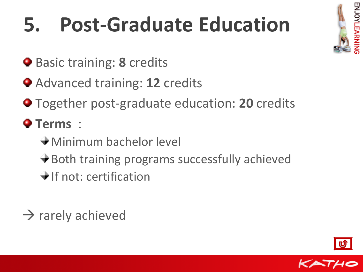## **5. Post-Graduate Education**

- **Basic training: 8 credits**
- Advanced training: **12** credits
- Together post-graduate education: **20** credits
- **Terms** :
	- Minimum bachelor level
	- **→ Both training programs successfully achieved**
	- $\bigstar$  If not: certification
- $\rightarrow$  rarely achieved





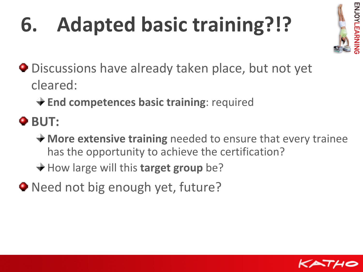## <span id="page-17-0"></span>**6. Adapted basic training?!?**



- Discussions have already taken place, but not yet cleared:
	- **End competences basic training**: required
- $\bullet$  **BUT:** 
	- **More extensive training** needed to ensure that every trainee has the opportunity to achieve the certification?
	- **→ How large will this target group be?**
- Need not big enough yet, future?

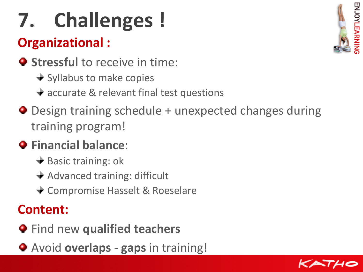## **7. Challenges !**

### **Organizational :**

- $\bullet$  **Stressful** to receive in time:
	- $\rightarrow$  Syllabus to make copies
	- $\rightarrow$  accurate & relevant final test questions
- Design training schedule + unexpected changes during training program!

### **Financial balance**:

- $\rightarrow$  Basic training: ok
- $\rightarrow$  Advanced training: difficult
- Compromise Hasselt & Roeselare

### **Content:**

- $\bullet$  Find new qualified teachers
- Avoid **overlaps gaps** in training!



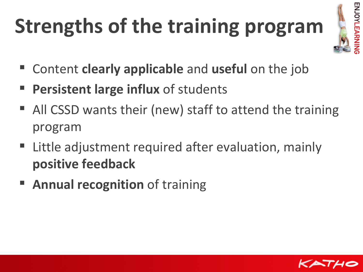## **Strengths of the training program**



- Content **clearly applicable** and **useful** on the job
- **Persistent large influx** of students
- All CSSD wants their (new) staff to attend the training program
- Little adjustment required after evaluation, mainly **positive feedback**
- **Annual recognition** of training